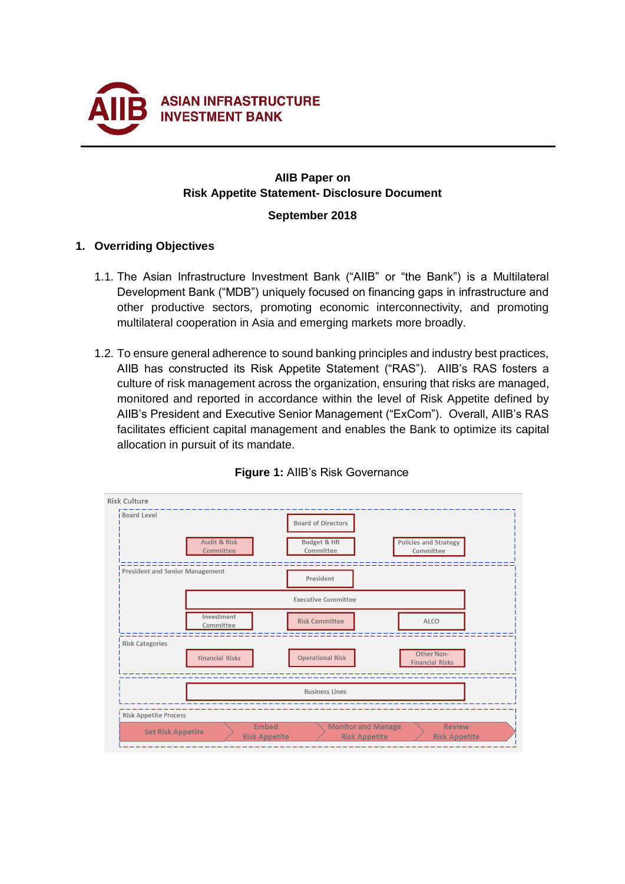

## **AIIB Paper on Risk Appetite Statement- Disclosure Document**

#### **September 2018**

## **1. Overriding Objectives**

- 1.1. The Asian Infrastructure Investment Bank ("AIIB" or "the Bank") is a Multilateral Development Bank ("MDB") uniquely focused on financing gaps in infrastructure and other productive sectors, promoting economic interconnectivity, and promoting multilateral cooperation in Asia and emerging markets more broadly.
- 1.2. To ensure general adherence to sound banking principles and industry best practices, AIIB has constructed its Risk Appetite Statement ("RAS"). AIIB's RAS fosters a culture of risk management across the organization, ensuring that risks are managed, monitored and reported in accordance within the level of Risk Appetite defined by AIIB's President and Executive Senior Management ("ExCom"). Overall, AIIB's RAS facilitates efficient capital management and enables the Bank to optimize its capital allocation in pursuit of its mandate.



# **Figure 1:** AIIB's Risk Governance